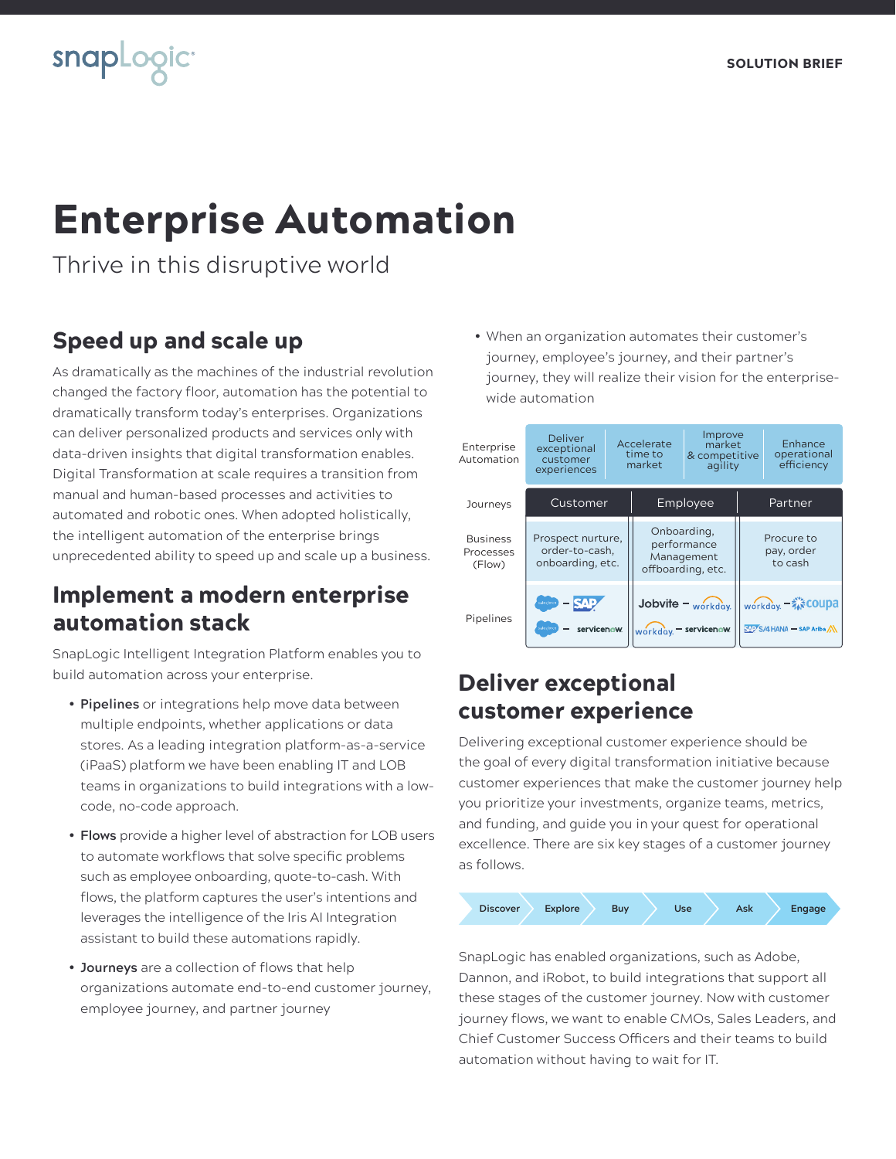## **snapLogict**

# Enterprise Automation

Thrive in this disruptive world

### Speed up and scale up

As dramatically as the machines of the industrial revolution changed the factory floor, automation has the potential to dramatically transform today's enterprises. Organizations can deliver personalized products and services only with data-driven insights that digital transformation enables. Digital Transformation at scale requires a transition from manual and human-based processes and activities to automated and robotic ones. When adopted holistically, the intelligent automation of the enterprise brings unprecedented ability to speed up and scale up a business.

#### Implement a modern enterprise automation stack

SnapLogic Intelligent Integration Platform enables you to build automation across your enterprise.

- **Pipelines** or integrations help move data between multiple endpoints, whether applications or data stores. As a leading integration platform-as-a-service (iPaaS) platform we have been enabling IT and LOB teams in organizations to build integrations with a lowcode, no-code approach.
- **Flows** provide a higher level of abstraction for LOB users to automate workflows that solve specific problems such as employee onboarding, quote-to-cash. With flows, the platform captures the user's intentions and leverages the intelligence of the Iris AI Integration assistant to build these automations rapidly.
- **Journeys** are a collection of flows that help organizations automate end-to-end customer journey, employee journey, and partner journey

• When an organization automates their customer's journey, employee's journey, and their partner's journey, they will realize their vision for the enterprisewide automation



#### Deliver exceptional customer experience

Delivering exceptional customer experience should be the goal of every digital transformation initiative because customer experiences that make the customer journey help you prioritize your investments, organize teams, metrics, and funding, and guide you in your quest for operational excellence. There are six key stages of a customer journey as follows.



SnapLogic has enabled organizations, such as Adobe, Dannon, and iRobot, to build integrations that support all these stages of the customer journey. Now with customer journey flows, we want to enable CMOs, Sales Leaders, and Chief Customer Success Officers and their teams to build automation without having to wait for IT.